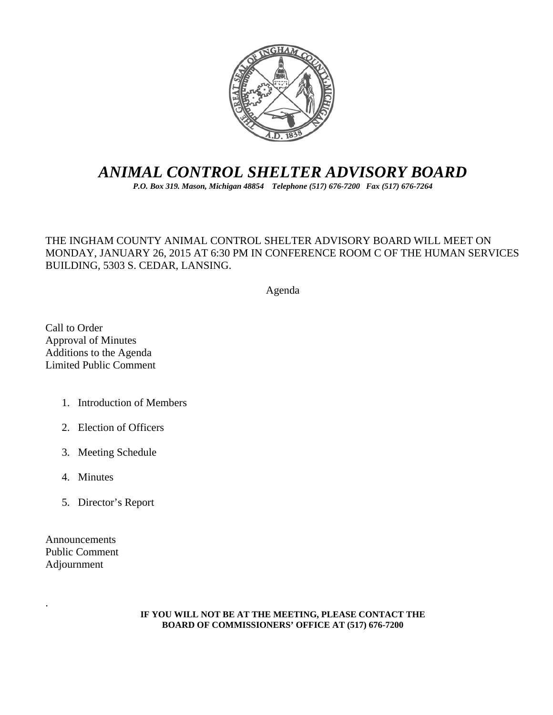

# *ANIMAL CONTROL SHELTER ADVISORY BOARD*

*P.O. Box 319. Mason, Michigan 48854 Telephone (517) 676-7200 Fax (517) 676-7264*

## THE INGHAM COUNTY ANIMAL CONTROL SHELTER ADVISORY BOARD WILL MEET ON MONDAY, JANUARY 26, 2015 AT 6:30 PM IN CONFERENCE ROOM C OF THE HUMAN SERVICES BUILDING, 5303 S. CEDAR, LANSING.

Agenda

Call to Order Approval of Minutes Additions to the Agenda Limited Public Comment

- 1. Introduction of Members
- 2. Election of Officers
- 3. Meeting Schedule
- 4. Minutes
- 5. Director's Report

Announcements Public Comment Adjournment

.

#### **IF YOU WILL NOT BE AT THE MEETING, PLEASE CONTACT THE BOARD OF COMMISSIONERS' OFFICE AT (517) 676-7200**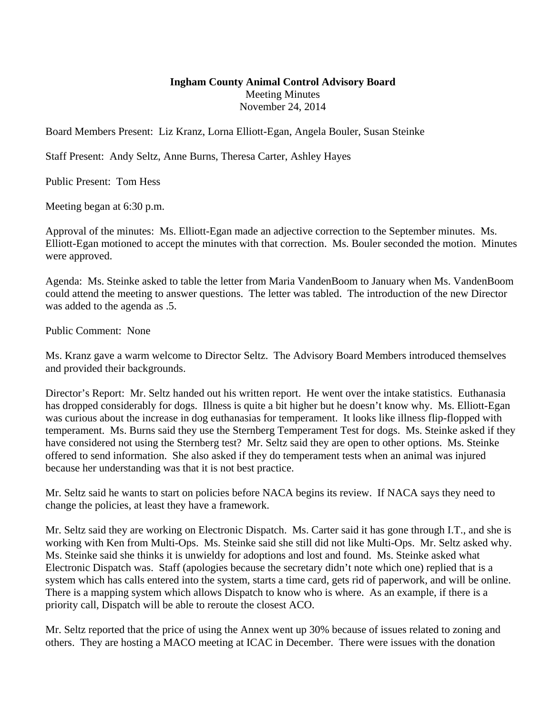## **Ingham County Animal Control Advisory Board**  Meeting Minutes November 24, 2014

Board Members Present: Liz Kranz, Lorna Elliott-Egan, Angela Bouler, Susan Steinke

Staff Present: Andy Seltz, Anne Burns, Theresa Carter, Ashley Hayes

Public Present: Tom Hess

Meeting began at 6:30 p.m.

Approval of the minutes: Ms. Elliott-Egan made an adjective correction to the September minutes. Ms. Elliott-Egan motioned to accept the minutes with that correction. Ms. Bouler seconded the motion. Minutes were approved.

Agenda: Ms. Steinke asked to table the letter from Maria VandenBoom to January when Ms. VandenBoom could attend the meeting to answer questions. The letter was tabled. The introduction of the new Director was added to the agenda as .5.

Public Comment: None

Ms. Kranz gave a warm welcome to Director Seltz. The Advisory Board Members introduced themselves and provided their backgrounds.

Director's Report: Mr. Seltz handed out his written report. He went over the intake statistics. Euthanasia has dropped considerably for dogs. Illness is quite a bit higher but he doesn't know why. Ms. Elliott-Egan was curious about the increase in dog euthanasias for temperament. It looks like illness flip-flopped with temperament. Ms. Burns said they use the Sternberg Temperament Test for dogs. Ms. Steinke asked if they have considered not using the Sternberg test? Mr. Seltz said they are open to other options. Ms. Steinke offered to send information. She also asked if they do temperament tests when an animal was injured because her understanding was that it is not best practice.

Mr. Seltz said he wants to start on policies before NACA begins its review. If NACA says they need to change the policies, at least they have a framework.

Mr. Seltz said they are working on Electronic Dispatch. Ms. Carter said it has gone through I.T., and she is working with Ken from Multi-Ops. Ms. Steinke said she still did not like Multi-Ops. Mr. Seltz asked why. Ms. Steinke said she thinks it is unwieldy for adoptions and lost and found. Ms. Steinke asked what Electronic Dispatch was. Staff (apologies because the secretary didn't note which one) replied that is a system which has calls entered into the system, starts a time card, gets rid of paperwork, and will be online. There is a mapping system which allows Dispatch to know who is where. As an example, if there is a priority call, Dispatch will be able to reroute the closest ACO.

Mr. Seltz reported that the price of using the Annex went up 30% because of issues related to zoning and others. They are hosting a MACO meeting at ICAC in December. There were issues with the donation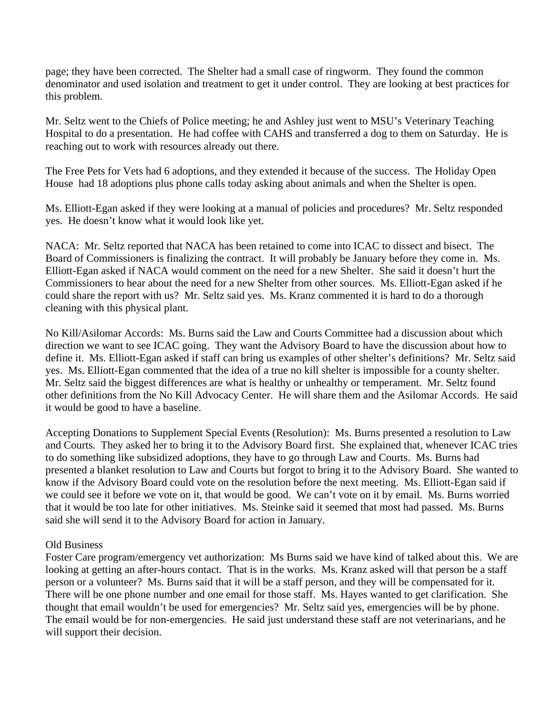page; they have been corrected. The Shelter had a small case of ringworm. They found the common denominator and used isolation and treatment to get it under control. They are looking at best practices for this problem.

Mr. Seltz went to the Chiefs of Police meeting; he and Ashley just went to MSU's Veterinary Teaching Hospital to do a presentation. He had coffee with CAHS and transferred a dog to them on Saturday. He is reaching out to work with resources already out there.

The Free Pets for Vets had 6 adoptions, and they extended it because of the success. The Holiday Open House had 18 adoptions plus phone calls today asking about animals and when the Shelter is open.

Ms. Elliott-Egan asked if they were looking at a manual of policies and procedures? Mr. Seltz responded yes. He doesn't know what it would look like yet.

NACA: Mr. Seltz reported that NACA has been retained to come into ICAC to dissect and bisect. The Board of Commissioners is finalizing the contract. It will probably be January before they come in. Ms. Elliott-Egan asked if NACA would comment on the need for a new Shelter. She said it doesn't hurt the Commissioners to hear about the need for a new Shelter from other sources. Ms. Elliott-Egan asked if he could share the report with us? Mr. Seltz said yes. Ms. Kranz commented it is hard to do a thorough cleaning with this physical plant.

No Kill/Asilomar Accords: Ms. Burns said the Law and Courts Committee had a discussion about which direction we want to see ICAC going. They want the Advisory Board to have the discussion about how to define it. Ms. Elliott-Egan asked if staff can bring us examples of other shelter's definitions? Mr. Seltz said yes. Ms. Elliott-Egan commented that the idea of a true no kill shelter is impossible for a county shelter. Mr. Seltz said the biggest differences are what is healthy or unhealthy or temperament. Mr. Seltz found other definitions from the No Kill Advocacy Center. He will share them and the Asilomar Accords. He said it would be good to have a baseline.

Accepting Donations to Supplement Special Events (Resolution): Ms. Burns presented a resolution to Law and Courts. They asked her to bring it to the Advisory Board first. She explained that, whenever ICAC tries to do something like subsidized adoptions, they have to go through Law and Courts. Ms. Burns had presented a blanket resolution to Law and Courts but forgot to bring it to the Advisory Board. She wanted to know if the Advisory Board could vote on the resolution before the next meeting. Ms. Elliott-Egan said if we could see it before we vote on it, that would be good. We can't vote on it by email. Ms. Burns worried that it would be too late for other initiatives. Ms. Steinke said it seemed that most had passed. Ms. Burns said she will send it to the Advisory Board for action in January.

## Old Business

Foster Care program/emergency vet authorization: Ms Burns said we have kind of talked about this. We are looking at getting an after-hours contact. That is in the works. Ms. Kranz asked will that person be a staff person or a volunteer? Ms. Burns said that it will be a staff person, and they will be compensated for it. There will be one phone number and one email for those staff. Ms. Hayes wanted to get clarification. She thought that email wouldn't be used for emergencies? Mr. Seltz said yes, emergencies will be by phone. The email would be for non-emergencies. He said just understand these staff are not veterinarians, and he will support their decision.